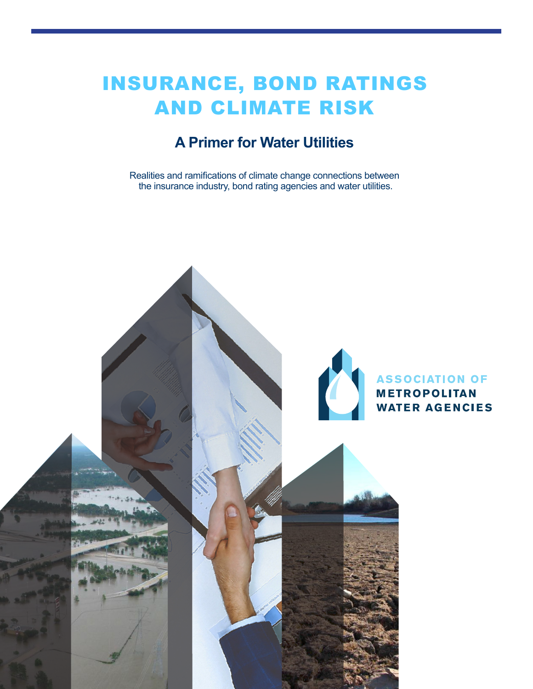# INSURANCE, BOND RATINGS AND CLIMATE RISK

## **A Primer for Water Utilities**

Realities and ramifications of climate change connections between the insurance industry, bond rating agencies and water utilities.

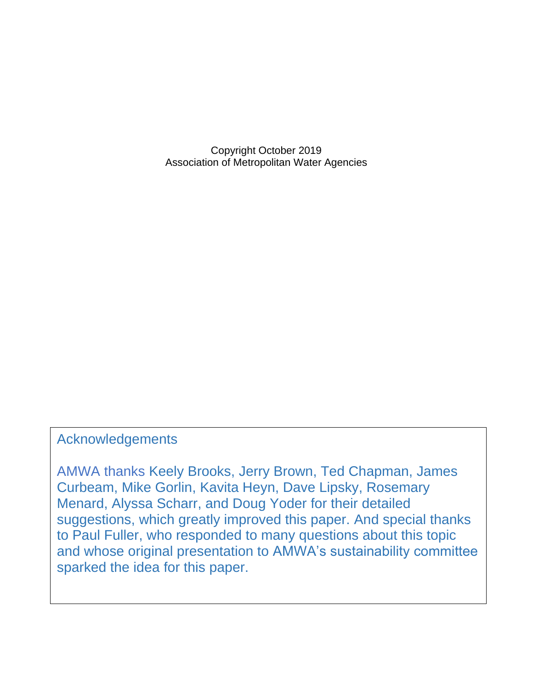Copyright October 2019 Association of Metropolitan Water Agencies

#### Acknowledgements

AMWA thanks Keely Brooks, Jerry Brown, Ted Chapman, James Curbeam, Mike Gorlin, Kavita Heyn, Dave Lipsky, Rosemary Menard, Alyssa Scharr, and Doug Yoder for their detailed suggestions, which greatly improved this paper. And special thanks to Paul Fuller, who responded to many questions about this topic and whose original presentation to AMWA's sustainability committee sparked the idea for this paper.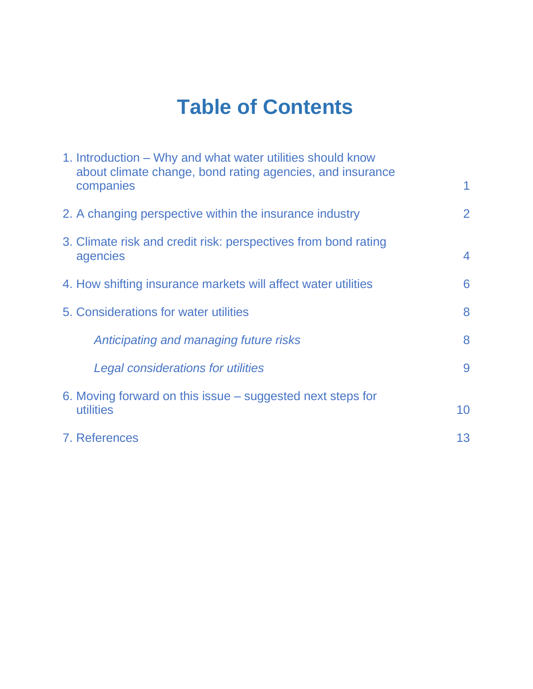# **Table of Contents**

| 1. Introduction – Why and what water utilities should know<br>about climate change, bond rating agencies, and insurance |    |
|-------------------------------------------------------------------------------------------------------------------------|----|
| companies                                                                                                               | 1  |
| 2. A changing perspective within the insurance industry                                                                 | 2  |
| 3. Climate risk and credit risk: perspectives from bond rating                                                          | 4  |
| agencies                                                                                                                |    |
| 4. How shifting insurance markets will affect water utilities                                                           | 6  |
| 5. Considerations for water utilities                                                                                   | 8  |
| Anticipating and managing future risks                                                                                  | 8  |
| Legal considerations for utilities                                                                                      | 9  |
| 6. Moving forward on this issue – suggested next steps for                                                              |    |
| utilities                                                                                                               | 10 |
| 7. References                                                                                                           | 13 |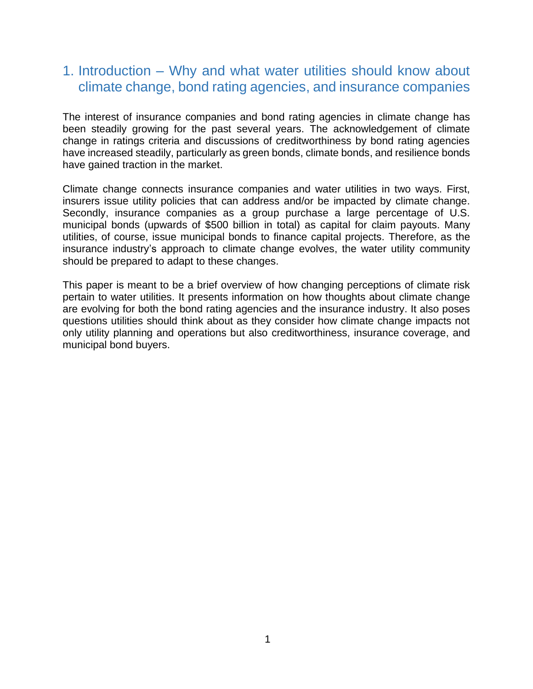## 1. Introduction – Why and what water utilities should know about climate change, bond rating agencies, and insurance companies

The interest of insurance companies and bond rating agencies in climate change has been steadily growing for the past several years. The acknowledgement of climate change in ratings criteria and discussions of creditworthiness by bond rating agencies have increased steadily, particularly as green bonds, climate bonds, and resilience bonds have gained traction in the market.

Climate change connects insurance companies and water utilities in two ways. First, insurers issue utility policies that can address and/or be impacted by climate change. Secondly, insurance companies as a group purchase a large percentage of U.S. municipal bonds (upwards of \$500 billion in total) as capital for claim payouts. Many utilities, of course, issue municipal bonds to finance capital projects. Therefore, as the insurance industry's approach to climate change evolves, the water utility community should be prepared to adapt to these changes.

This paper is meant to be a brief overview of how changing perceptions of climate risk pertain to water utilities. It presents information on how thoughts about climate change are evolving for both the bond rating agencies and the insurance industry. It also poses questions utilities should think about as they consider how climate change impacts not only utility planning and operations but also creditworthiness, insurance coverage, and municipal bond buyers.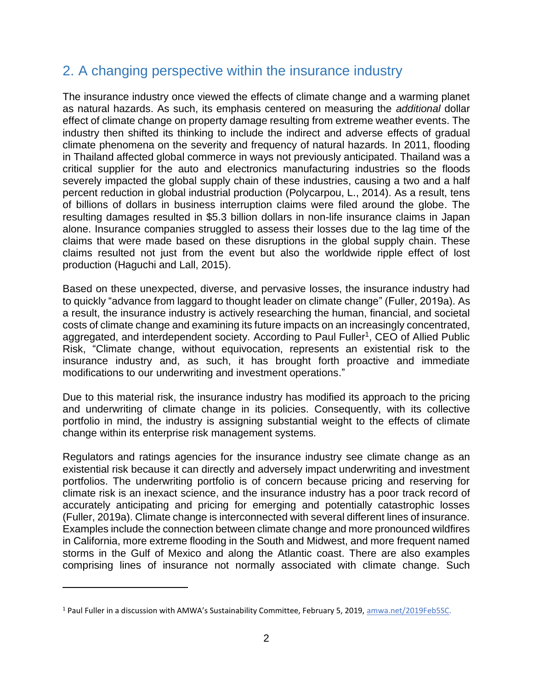### 2. A changing perspective within the insurance industry

The insurance industry once viewed the effects of climate change and a warming planet as natural hazards. As such, its emphasis centered on measuring the *additional* dollar effect of climate change on property damage resulting from extreme weather events. The industry then shifted its thinking to include the indirect and adverse effects of gradual climate phenomena on the severity and frequency of natural hazards. In 2011, flooding in Thailand affected global commerce in ways not previously anticipated. Thailand was a critical supplier for the auto and electronics manufacturing industries so the floods severely impacted the global supply chain of these industries, causing a two and a half percent reduction in global industrial production (Polycarpou, L., 2014). As a result, tens of billions of dollars in business interruption claims were filed around the globe. The resulting damages resulted in \$5.3 billion dollars in non-life insurance claims in Japan alone. Insurance companies struggled to assess their losses due to the lag time of the claims that were made based on these disruptions in the global supply chain. These claims resulted not just from the event but also the worldwide ripple effect of lost production (Haguchi and Lall, 2015).

Based on these unexpected, diverse, and pervasive losses, the insurance industry had to quickly "advance from laggard to thought leader on climate change" (Fuller, 2019a). As a result, the insurance industry is actively researching the human, financial, and societal costs of climate change and examining its future impacts on an increasingly concentrated, aggregated, and interdependent society. According to Paul Fuller<sup>1</sup>, CEO of Allied Public Risk, "Climate change, without equivocation, represents an existential risk to the insurance industry and, as such, it has brought forth proactive and immediate modifications to our underwriting and investment operations."

Due to this material risk, the insurance industry has modified its approach to the pricing and underwriting of climate change in its policies. Consequently, with its collective portfolio in mind, the industry is assigning substantial weight to the effects of climate change within its enterprise risk management systems.

Regulators and ratings agencies for the insurance industry see climate change as an existential risk because it can directly and adversely impact underwriting and investment portfolios. The underwriting portfolio is of concern because pricing and reserving for climate risk is an inexact science, and the insurance industry has a poor track record of accurately anticipating and pricing for emerging and potentially catastrophic losses (Fuller, 2019a). Climate change is interconnected with several different lines of insurance. Examples include the connection between climate change and more pronounced wildfires in California, more extreme flooding in the South and Midwest, and more frequent named storms in the Gulf of Mexico and along the Atlantic coast. There are also examples comprising lines of insurance not normally associated with climate change. Such

<sup>1</sup> Paul Fuller in a discussion with AMWA's Sustainability Committee, February 5, 2019, [amwa.net/2019Feb5SC.](/Users/DV/Library/Containers/com.apple.mail/Data/Library/Mail%20Downloads/9FA327B8-EB9C-455B-8481-EDE7B2D081C8/amwa.net/2019Feb5SC)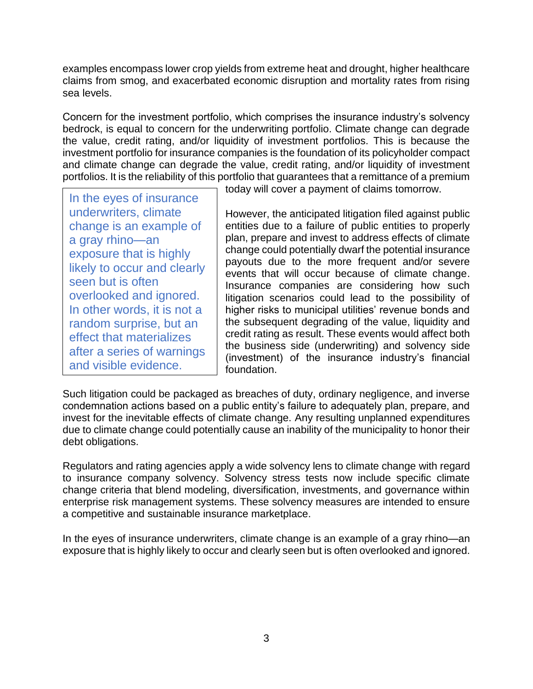examples encompass lower crop yields from extreme heat and drought, higher healthcare claims from smog, and exacerbated economic disruption and mortality rates from rising sea levels.

Concern for the investment portfolio, which comprises the insurance industry's solvency bedrock, is equal to concern for the underwriting portfolio. Climate change can degrade the value, credit rating, and/or liquidity of investment portfolios. This is because the investment portfolio for insurance companies is the foundation of its policyholder compact and climate change can degrade the value, credit rating, and/or liquidity of investment portfolios. It is the reliability of this portfolio that guarantees that a remittance of a premium

In the eyes of insurance underwriters, climate change is an example of a gray rhino—an exposure that is highly likely to occur and clearly seen but is often overlooked and ignored. In other words, it is not a random surprise, but an effect that materializes after a series of warnings and visible evidence. nange is an example of<br>gray rhino—an<br>posure that is highly<br>rely to occur and clear<br>een but is often<br>verlooked and ignored<br>other words, it is not<br>ndom surprise, but ar<br>fect that materializes

today will cover a payment of claims tomorrow.

However, the anticipated litigation filed against public entities due to a failure of public entities to properly plan, prepare and invest to address effects of climate change could potentially dwarf the potential insurance payouts due to the more frequent and/or severe events that will occur because of climate change. Insurance companies are considering how such litigation scenarios could lead to the possibility of higher risks to municipal utilities' revenue bonds and the subsequent degrading of the value, liquidity and credit rating as result. These events would affect both the business side (underwriting) and solvency side (investment) of the insurance industry's financial foundation.

Such litigation could be packaged as breaches of duty, ordinary negligence, and inverse condemnation actions based on a public entity's failure to adequately plan, prepare, and invest for the inevitable effects of climate change. Any resulting unplanned expenditures due to climate change could potentially cause an inability of the municipality to honor their debt obligations.

Regulators and rating agencies apply a wide solvency lens to climate change with regard to insurance company solvency. Solvency stress tests now include specific climate change criteria that blend modeling, diversification, investments, and governance within enterprise risk management systems. These solvency measures are intended to ensure a competitive and sustainable insurance marketplace.

In the eyes of insurance underwriters, climate change is an example of a gray rhino—an exposure that is highly likely to occur and clearly seen but is often overlooked and ignored.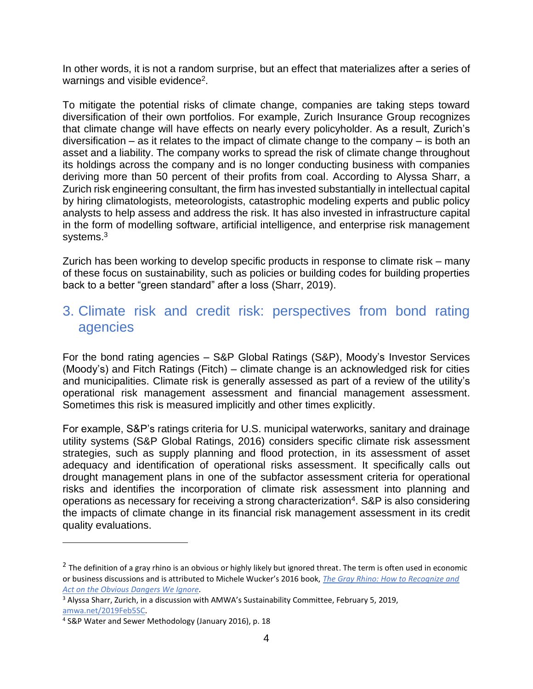In other words, it is not a random surprise, but an effect that materializes after a series of warnings and visible evidence<sup>2</sup>.

To mitigate the potential risks of climate change, companies are taking steps toward diversification of their own portfolios. For example, Zurich Insurance Group recognizes that climate change will have effects on nearly every policyholder. As a result, Zurich's diversification – as it relates to the impact of climate change to the company – is both an asset and a liability. The company works to spread the risk of climate change throughout its holdings across the company and is no longer conducting business with companies deriving more than 50 percent of their profits from coal. According to Alyssa Sharr, a Zurich risk engineering consultant, the firm has invested substantially in intellectual capital by hiring climatologists, meteorologists, catastrophic modeling experts and public policy analysts to help assess and address the risk. It has also invested in infrastructure capital in the form of modelling software, artificial intelligence, and enterprise risk management systems.<sup>3</sup>

Zurich has been working to develop specific products in response to climate risk – many of these focus on sustainability, such as policies or building codes for building properties back to a better "green standard" after a loss (Sharr, 2019).

#### 3. Climate risk and credit risk: perspectives from bond rating agencies

For the bond rating agencies – S&P Global Ratings (S&P), Moody's Investor Services (Moody's) and Fitch Ratings (Fitch) – climate change is an acknowledged risk for cities and municipalities. Climate risk is generally assessed as part of a review of the utility's operational risk management assessment and financial management assessment. Sometimes this risk is measured implicitly and other times explicitly.

For example, S&P's ratings criteria for U.S. municipal waterworks, sanitary and drainage utility systems (S&P Global Ratings, 2016) considers specific climate risk assessment strategies, such as supply planning and flood protection, in its assessment of asset adequacy and identification of operational risks assessment. It specifically calls out drought management plans in one of the subfactor assessment criteria for operational risks and identifies the incorporation of climate risk assessment into planning and operations as necessary for receiving a strong characterization<sup>4</sup>. S&P is also considering the impacts of climate change in its financial risk management assessment in its credit quality evaluations.

 $^2$  The definition of a gray rhino is an obvious or highly likely but ignored threat. The term is often used in economic or business discussions and is attributed to Michele Wucker's 2016 book, *[The Gray Rhino: How to Recognize and](http://wucker.com/writing/the-gray-rhino/)  [Act on the Obvious Dangers We Ignore.](http://wucker.com/writing/the-gray-rhino/)*

<sup>&</sup>lt;sup>3</sup> Alyssa Sharr, Zurich, in a discussion with AMWA's Sustainability Committee, February 5, 2019, [amwa.net/2019Feb5SC.](/Users/DV/Library/Containers/com.apple.mail/Data/Library/Mail%20Downloads/9FA327B8-EB9C-455B-8481-EDE7B2D081C8/amwa.net/2019Feb5SC)

<sup>4</sup> S&P Water and Sewer Methodology (January 2016), p. 18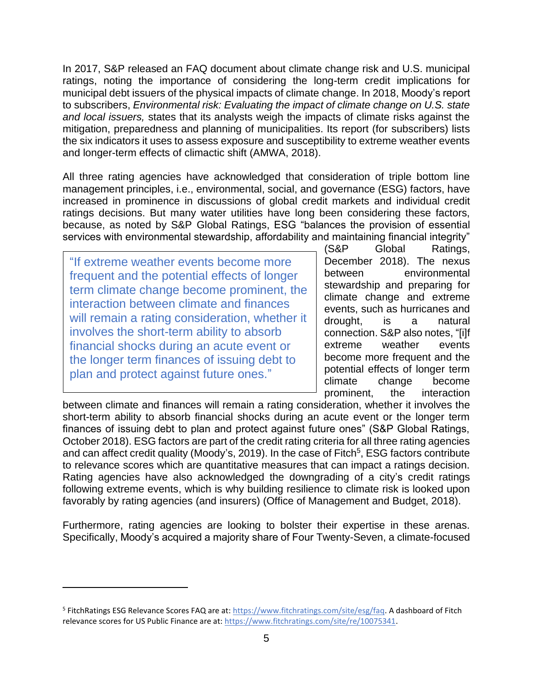In 2017, S&P released an FAQ document about climate change risk and U.S. municipal ratings, noting the importance of considering the long-term credit implications for municipal debt issuers of the physical impacts of climate change. In 2018, Moody's report to subscribers, *Environmental risk: Evaluating the impact of climate change on U.S. state and local issuers,* states that its analysts weigh the impacts of climate risks against the mitigation, preparedness and planning of municipalities. Its report (for subscribers) lists the six indicators it uses to assess exposure and susceptibility to extreme weather events and longer-term effects of climactic shift (AMWA, 2018).

All three rating agencies have acknowledged that consideration of triple bottom line management principles, i.e., environmental, social, and governance (ESG) factors, have increased in prominence in discussions of global credit markets and individual credit ratings decisions. But many water utilities have long been considering these factors, because, as noted by S&P Global Ratings, ESG "balances the provision of essential services with environmental stewardship, affordability and maintaining financial integrity"

"If extreme weather events become more frequent and the potential effects of longer term climate change become prominent, the interaction between climate and finances will remain a rating consideration, whether it involves the short-term ability to absorb financial shocks during an acute event or the longer term finances of issuing debt to plan and protect against future ones."

(S&P Global Ratings, December 2018). The nexus between environmental stewardship and preparing for climate change and extreme events, such as hurricanes and drought, is a natural connection. S&P also notes, "[i]f extreme weather events become more frequent and the potential effects of longer term climate change become prominent, the interaction

between climate and finances will remain a rating consideration, whether it involves the short-term ability to absorb financial shocks during an acute event or the longer term finances of issuing debt to plan and protect against future ones" (S&P Global Ratings, October 2018). ESG factors are part of the credit rating criteria for all three rating agencies and can affect credit quality (Moody's, 2019). In the case of Fitch<sup>5</sup>, ESG factors contribute to relevance scores which are quantitative measures that can impact a ratings decision. Rating agencies have also acknowledged the downgrading of a city's credit ratings following extreme events, which is why building resilience to climate risk is looked upon favorably by rating agencies (and insurers) (Office of Management and Budget, 2018).

Furthermore, rating agencies are looking to bolster their expertise in these arenas. Specifically, Moody's acquired a majority share of Four Twenty-Seven, a climate-focused

<sup>&</sup>lt;sup>5</sup> FitchRatings ESG Relevance Scores FAQ are at[: https://www.fitchratings.com/site/esg/faq.](https://www.fitchratings.com/site/esg/faq) A dashboard of Fitch relevance scores for US Public Finance are at: [https://www.fitchratings.com/site/re/10075341.](https://www.fitchratings.com/site/re/10075341)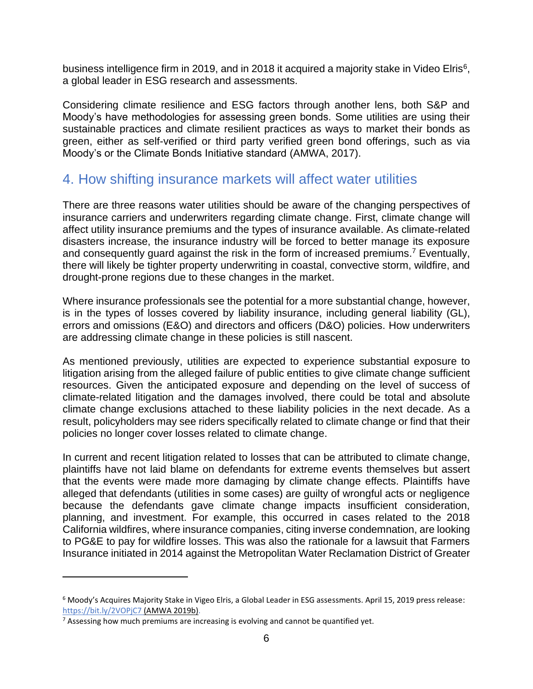business intelligence firm in 2019, and in 2018 it acquired a majority stake in Video Elris<sup>6</sup>, a global leader in ESG research and assessments.

Considering climate resilience and ESG factors through another lens, both S&P and Moody's have methodologies for assessing green bonds. Some utilities are using their sustainable practices and climate resilient practices as ways to market their bonds as green, either as self-verified or third party verified green bond offerings, such as via Moody's or the Climate Bonds Initiative standard (AMWA, 2017).

#### 4. How shifting insurance markets will affect water utilities

There are three reasons water utilities should be aware of the changing perspectives of insurance carriers and underwriters regarding climate change. First, climate change will affect utility insurance premiums and the types of insurance available. As climate-related disasters increase, the insurance industry will be forced to better manage its exposure and consequently guard against the risk in the form of increased premiums.<sup>7</sup> Eventually, there will likely be tighter property underwriting in coastal, convective storm, wildfire, and drought-prone regions due to these changes in the market.

Where insurance professionals see the potential for a more substantial change, however, is in the types of losses covered by liability insurance, including general liability (GL), errors and omissions (E&O) and directors and officers (D&O) policies. How underwriters are addressing climate change in these policies is still nascent.

As mentioned previously, utilities are expected to experience substantial exposure to litigation arising from the alleged failure of public entities to give climate change sufficient resources. Given the anticipated exposure and depending on the level of success of climate-related litigation and the damages involved, there could be total and absolute climate change exclusions attached to these liability policies in the next decade. As a result, policyholders may see riders specifically related to climate change or find that their policies no longer cover losses related to climate change.

In current and recent litigation related to losses that can be attributed to climate change, plaintiffs have not laid blame on defendants for extreme events themselves but assert that the events were made more damaging by climate change effects. Plaintiffs have alleged that defendants (utilities in some cases) are guilty of wrongful acts or negligence because the defendants gave climate change impacts insufficient consideration, planning, and investment. For example, this occurred in cases related to the 2018 California wildfires, where insurance companies, citing inverse condemnation, are looking to PG&E to pay for wildfire losses. This was also the rationale for a lawsuit that Farmers Insurance initiated in 2014 against the Metropolitan Water Reclamation District of Greater

<sup>6</sup> Moody's Acquires Majority Stake in Vigeo Elris, a Global Leader in ESG assessments. April 15, 2019 press release: <https://bit.ly/2VOPjC7> (AMWA 2019b).

 $<sup>7</sup>$  Assessing how much premiums are increasing is evolving and cannot be quantified yet.</sup>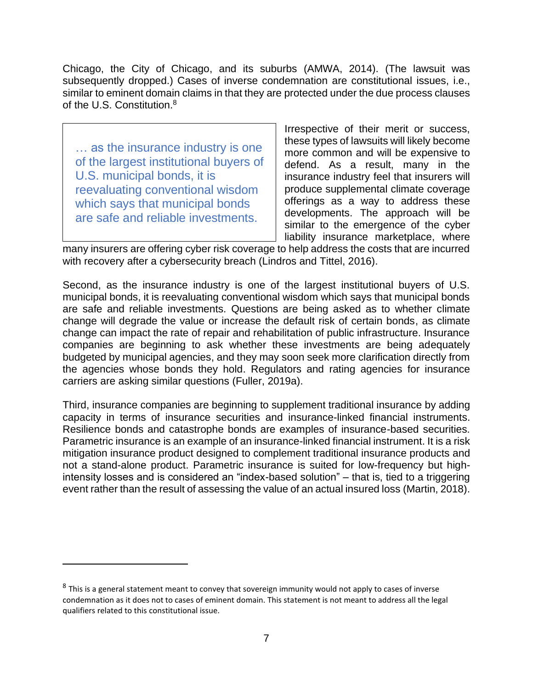Chicago, the City of Chicago, and its suburbs (AMWA, 2014). (The lawsuit was subsequently dropped.) Cases of inverse condemnation are constitutional issues, i.e., similar to eminent domain claims in that they are protected under the due process clauses of the U.S. Constitution.<sup>8</sup>

… as the insurance industry is one of the largest institutional buyers of U.S. municipal bonds, it is reevaluating conventional wisdom which says that municipal bonds are safe and reliable investments.

Irrespective of their merit or success, these types of lawsuits will likely become more common and will be expensive to defend. As a result, many in the insurance industry feel that insurers will produce supplemental climate coverage offerings as a way to address these developments. The approach will be similar to the emergence of the cyber liability insurance marketplace, where

many insurers are offering cyber risk coverage to help address the costs that are incurred with recovery after a cybersecurity breach (Lindros and Tittel, 2016).

Second, as the insurance industry is one of the largest institutional buyers of U.S. municipal bonds, it is reevaluating conventional wisdom which says that municipal bonds are safe and reliable investments. Questions are being asked as to whether climate change will degrade the value or increase the default risk of certain bonds, as climate change can impact the rate of repair and rehabilitation of public infrastructure. Insurance companies are beginning to ask whether these investments are being adequately budgeted by municipal agencies, and they may soon seek more clarification directly from the agencies whose bonds they hold. Regulators and rating agencies for insurance carriers are asking similar questions (Fuller, 2019a).

Third, insurance companies are beginning to supplement traditional insurance by adding capacity in terms of insurance securities and insurance-linked financial instruments. Resilience bonds and catastrophe bonds are examples of insurance-based securities. Parametric insurance is an example of an insurance-linked financial instrument. It is a risk mitigation insurance product designed to complement traditional insurance products and not a stand-alone product. Parametric insurance is suited for low-frequency but highintensity losses and is considered an "index-based solution" – that is, tied to a triggering event rather than the result of assessing the value of an actual insured loss (Martin, 2018).

 $^8$  This is a general statement meant to convey that sovereign immunity would not apply to cases of inverse condemnation as it does not to cases of eminent domain. This statement is not meant to address all the legal qualifiers related to this constitutional issue.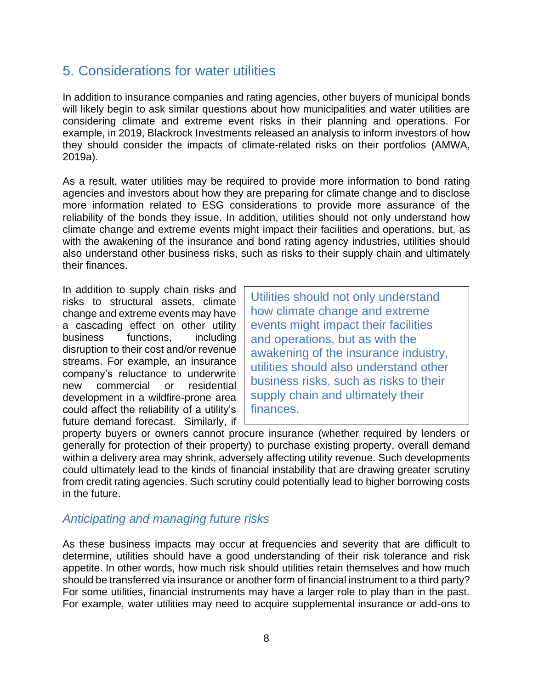### 5. Considerations for water utilities

In addition to insurance companies and rating agencies, other buyers of municipal bonds will likely begin to ask similar questions about how municipalities and water utilities are considering climate and extreme event risks in their planning and operations. For example, in 2019, Blackrock Investments released an analysis to inform investors of how they should consider the impacts of climate-related risks on their portfolios (AMWA, 2019a).

As a result, water utilities may be required to provide more information to bond rating agencies and investors about how they are preparing for climate change and to disclose more information related to ESG considerations to provide more assurance of the reliability of the bonds they issue. In addition, utilities should not only understand how climate change and extreme events might impact their facilities and operations, but, as with the awakening of the insurance and bond rating agency industries, utilities should also understand other business risks, such as risks to their supply chain and ultimately their finances.

In addition to supply chain risks and risks to structural assets, climate change and extreme events may have a cascading effect on other utility business functions, including disruption to their cost and/or revenue streams. For example, an insurance company's reluctance to underwrite new commercial or residential development in a wildfire-prone area could affect the reliability of a utility's future demand forecast. Similarly, if

Utilities should not only understand how climate change and extreme events might impact their facilities and operations, but as with the awakening of the insurance industry, utilities should also understand other business risks, such as risks to their supply chain and ultimately their finances.

property buyers or owners cannot procure insurance (whether required by lenders or generally for protection of their property) to purchase existing property, overall demand within a delivery area may shrink, adversely affecting utility revenue. Such developments could ultimately lead to the kinds of financial instability that are drawing greater scrutiny from credit rating agencies. Such scrutiny could potentially lead to higher borrowing costs in the future.

#### *Anticipating and managing future risks*

As these business impacts may occur at frequencies and severity that are difficult to determine, utilities should have a good understanding of their risk tolerance and risk appetite. In other words, how much risk should utilities retain themselves and how much should be transferred via insurance or another form of financial instrument to a third party? For some utilities, financial instruments may have a larger role to play than in the past. For example, water utilities may need to acquire supplemental insurance or add-ons to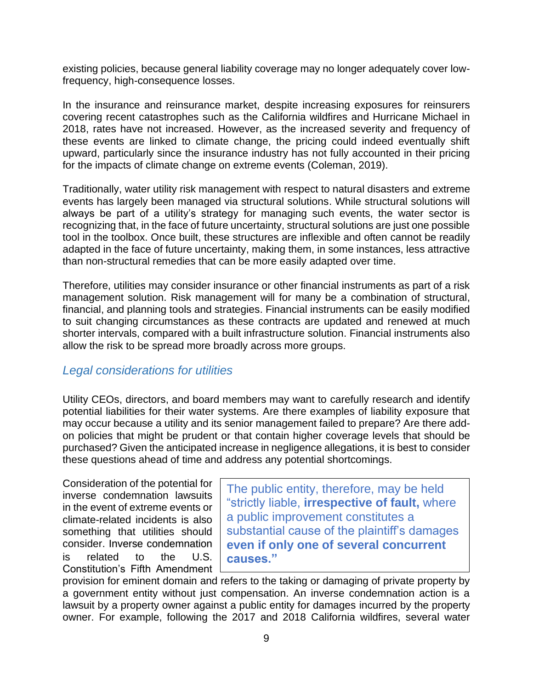existing policies, because general liability coverage may no longer adequately cover lowfrequency, high-consequence losses.

In the insurance and reinsurance market, despite increasing exposures for reinsurers covering recent catastrophes such as the California wildfires and Hurricane Michael in 2018, rates have not increased. However, as the increased severity and frequency of these events are linked to climate change, the pricing could indeed eventually shift upward, particularly since the insurance industry has not fully accounted in their pricing for the impacts of climate change on extreme events (Coleman, 2019).

Traditionally, water utility risk management with respect to natural disasters and extreme events has largely been managed via structural solutions. While structural solutions will always be part of a utility's strategy for managing such events, the water sector is recognizing that, in the face of future uncertainty, structural solutions are just one possible tool in the toolbox. Once built, these structures are inflexible and often cannot be readily adapted in the face of future uncertainty, making them, in some instances, less attractive than non-structural remedies that can be more easily adapted over time.

Therefore, utilities may consider insurance or other financial instruments as part of a risk management solution. Risk management will for many be a combination of structural, financial, and planning tools and strategies. Financial instruments can be easily modified to suit changing circumstances as these contracts are updated and renewed at much shorter intervals, compared with a built infrastructure solution. Financial instruments also allow the risk to be spread more broadly across more groups.

#### *Legal considerations for utilities*

Utility CEOs, directors, and board members may want to carefully research and identify potential liabilities for their water systems. Are there examples of liability exposure that may occur because a utility and its senior management failed to prepare? Are there addon policies that might be prudent or that contain higher coverage levels that should be purchased? Given the anticipated increase in negligence allegations, it is best to consider these questions ahead of time and address any potential shortcomings.

Consideration of the potential for inverse condemnation lawsuits in the event of extreme events or climate-related incidents is also something that utilities should consider. Inverse condemnation is related to the U.S. Constitution's Fifth Amendment

The public entity, therefore, may be held "strictly liable, **irrespective of fault,** where a public improvement constitutes a substantial cause of the plaintiff's damages **even if only one of several concurrent causes."** 

provision for eminent domain and refers to the taking or damaging of private property by a government entity without just compensation. An inverse condemnation action is a lawsuit by a property owner against a public entity for damages incurred by the property owner. For example, following the 2017 and 2018 California wildfires, several water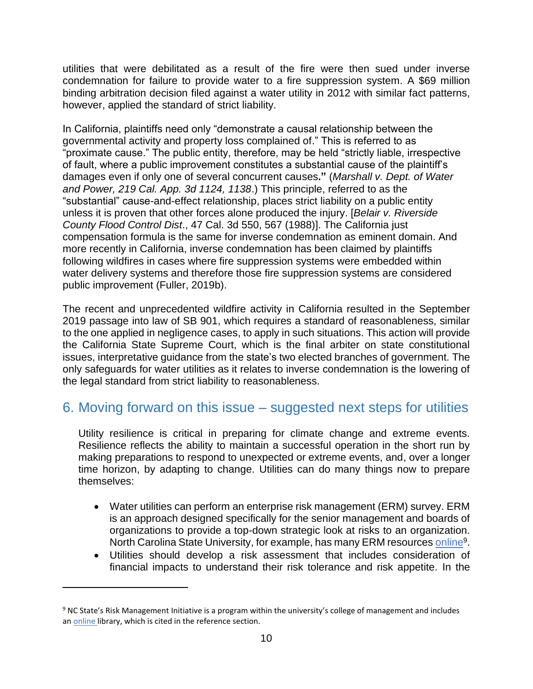utilities that were debilitated as a result of the fire were then sued under inverse condemnation for failure to provide water to a fire suppression system. A \$69 million binding arbitration decision filed against a water utility in 2012 with similar fact patterns, however, applied the standard of strict liability.

In California, plaintiffs need only "demonstrate a causal relationship between the governmental activity and property loss complained of." This is referred to as "proximate cause." The public entity, therefore, may be held "strictly liable, irrespective of fault, where a public improvement constitutes a substantial cause of the plaintiff's damages even if only one of several concurrent causes**."** (*Marshall v. Dept. of Water and Power, 219 Cal. App. 3d 1124, 1138*.) This principle, referred to as the "substantial" cause-and-effect relationship, places strict liability on a public entity unless it is proven that other forces alone produced the injury. [*Belair v. Riverside County Flood Control Dist*., 47 Cal. 3d 550, 567 (1988)]. The California just compensation formula is the same for inverse condemnation as eminent domain. And more recently in California, inverse condemnation has been claimed by plaintiffs following wildfires in cases where fire suppression systems were embedded within water delivery systems and therefore those fire suppression systems are considered public improvement (Fuller, 2019b).

The recent and unprecedented wildfire activity in California resulted in the September 2019 passage into law of SB 901, which requires a standard of reasonableness, similar to the one applied in negligence cases, to apply in such situations. This action will provide the California State Supreme Court, which is the final arbiter on state constitutional issues, interpretative guidance from the state's two elected branches of government. The only safeguards for water utilities as it relates to inverse condemnation is the lowering of the legal standard from strict liability to reasonableness.

## 6. Moving forward on this issue – suggested next steps for utilities

Utility resilience is critical in preparing for climate change and extreme events. Resilience reflects the ability to maintain a successful operation in the short run by making preparations to respond to unexpected or extreme events, and, over a longer time horizon, by adapting to change. Utilities can do many things now to prepare themselves:

- Water utilities can perform an enterprise risk management (ERM) survey. ERM is an approach designed specifically for the senior management and boards of organizations to provide a top-down strategic look at risks to an organization. North Carolina State University, for example, has many ERM resources [online](http://bit.ly/ncsuERM)<sup>9</sup>.
- Utilities should develop a risk assessment that includes consideration of financial impacts to understand their risk tolerance and risk appetite. In the

<sup>&</sup>lt;sup>9</sup> NC State's Risk Management Initiative is a program within the university's college of management and includes a[n online](http://bit.ly/ncsuERM) library, which is cited in the reference section.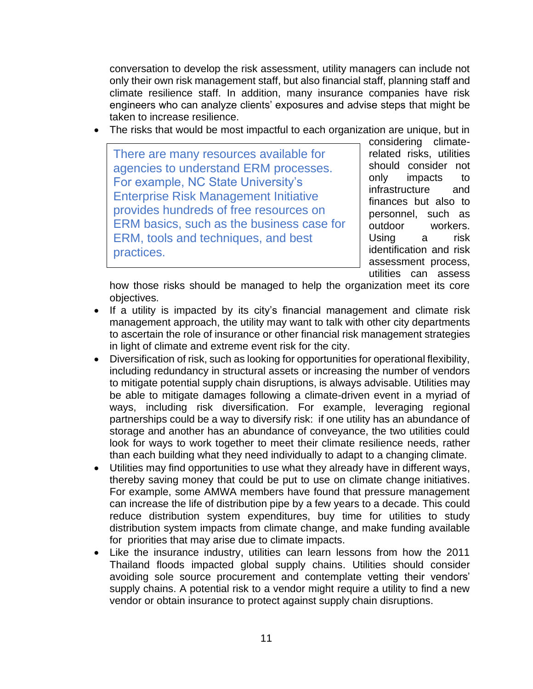conversation to develop the risk assessment, utility managers can include not only their own risk management staff, but also financial staff, planning staff and climate resilience staff. In addition, many insurance companies have risk engineers who can analyze clients' exposures and advise steps that might be taken to increase resilience.

• The risks that would be most impactful to each organization are unique, but in

There are many resources available for agencies to understand ERM processes. For example, NC State University's Enterprise Risk Management Initiative provides hundreds of free resources on ERM basics, such as the business case for ERM, tools and techniques, and best practices.

considering climaterelated risks, utilities should consider not only impacts to infrastructure and finances but also to personnel, such as outdoor workers. Using a risk identification and risk assessment process, utilities can assess

how those risks should be managed to help the organization meet its core objectives.

- If a utility is impacted by its city's financial management and climate risk management approach, the utility may want to talk with other city departments to ascertain the role of insurance or other financial risk management strategies in light of climate and extreme event risk for the city.
- Diversification of risk, such as looking for opportunities for operational flexibility, including redundancy in structural assets or increasing the number of vendors to mitigate potential supply chain disruptions, is always advisable. Utilities may be able to mitigate damages following a climate-driven event in a myriad of ways, including risk diversification. For example, leveraging regional partnerships could be a way to diversify risk: if one utility has an abundance of storage and another has an abundance of conveyance, the two utilities could look for ways to work together to meet their climate resilience needs, rather than each building what they need individually to adapt to a changing climate.
- Utilities may find opportunities to use what they already have in different ways, thereby saving money that could be put to use on climate change initiatives. For example, some AMWA members have found that pressure management can increase the life of distribution pipe by a few years to a decade. This could reduce distribution system expenditures, buy time for utilities to study distribution system impacts from climate change, and make funding available for priorities that may arise due to climate impacts.
- Like the insurance industry, utilities can learn lessons from how the 2011 Thailand floods impacted global supply chains. Utilities should consider avoiding sole source procurement and contemplate vetting their vendors' supply chains. A potential risk to a vendor might require a utility to find a new vendor or obtain insurance to protect against supply chain disruptions.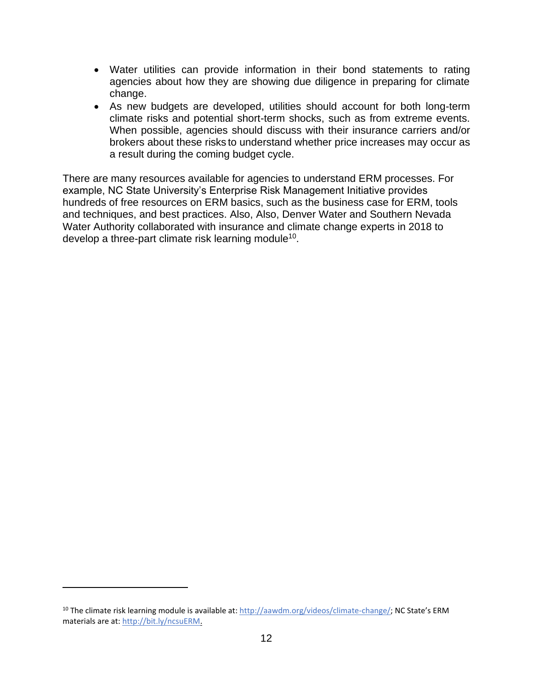- Water utilities can provide information in their bond statements to rating agencies about how they are showing due diligence in preparing for climate change.
- As new budgets are developed, utilities should account for both long-term climate risks and potential short-term shocks, such as from extreme events. When possible, agencies should discuss with their insurance carriers and/or brokers about these risks to understand whether price increases may occur as a result during the coming budget cycle.

There are many resources available for agencies to understand ERM processes. For example, NC State University's Enterprise Risk Management Initiative provides hundreds of free resources on ERM basics, such as the business case for ERM, tools and techniques, and best practices. Also, Also, Denver Water and Southern Nevada Water Authority collaborated with insurance and climate change experts in 2018 to develop a three-part climate risk learning module<sup>10</sup>.

<sup>&</sup>lt;sup>10</sup> The climate risk learning module is available at[: http://aawdm.org/videos/climate-change/](http://aawdm.org/videos/climate-change/); NC State's ERM materials are at[: http://bit.ly/ncsuERM.](http://bit.ly/ncsuERM)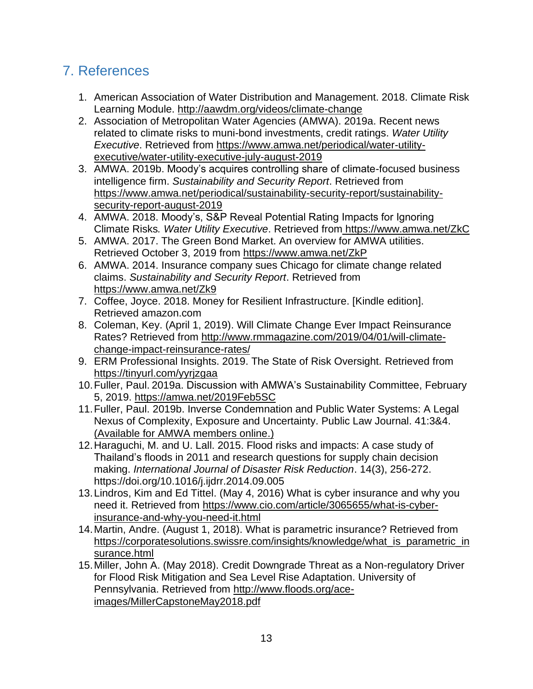## 7. References

- 1. American Association of Water Distribution and Management. 2018. Climate Risk Learning Module. http://aawdm.org/videos/climate-change
- 2. Association of Metropolitan Water Agencies (AMWA). 2019a. Recent news related to climate risks to muni-bond investments, credit ratings. *Water Utility Executive*. Retrieved from https://www.amwa.net/periodical/water-utilityexecutive/water-utility-executive-july-august-2019
- 3. AMWA. 2019b. Moody's acquires controlling share of climate-focused business intelligence firm. *Sustainability and Security Report*. Retrieved from https://www.amwa.net/periodical/sustainability-security-report/sustainabilitysecurity-report-august-2019
- 4. AMWA. 2018. Moody's, S&P Reveal Potential Rating Impacts for Ignoring Climate Risks*. Water Utility Executive*. Retrieved from https://www.amwa.net/ZkC
- 5. AMWA. 2017. The Green Bond Market. An overview for AMWA utilities. Retrieved October 3, 2019 from https://www.amwa.net/ZkP
- 6. AMWA. 2014. Insurance company sues Chicago for climate change related claims. *Sustainability and Security Report*. Retrieved from https://www.amwa.net/Zk9
- 7. Coffee, Joyce. 2018. Money for Resilient Infrastructure. [Kindle edition]. Retrieved amazon.com
- 8. Coleman, Key. (April 1, 2019). Will Climate Change Ever Impact Reinsurance Rates? Retrieved from [http://www.rmmagazine.com/2019/04/01/will-climate](http://www.rmmagazine.com/2019/04/01/will-climate-change-impact-reinsurance-rates/)[change-impact-reinsurance-rates/](http://www.rmmagazine.com/2019/04/01/will-climate-change-impact-reinsurance-rates/)
- 9. ERM Professional Insights. 2019. The State of Risk Oversight. Retrieved from <https://tinyurl.com/yyrjzgaa>
- 10.Fuller, Paul. 2019a. Discussion with AMWA's Sustainability Committee, February 5, 2019. https://amwa.net/2019Feb5SC
- 11.Fuller, Paul. 2019b. Inverse Condemnation and Public Water Systems: A Legal Nexus of Complexity, Exposure and Uncertainty. Public Law Journal. 41:3&4. [\(Available for AMWA members online.\)](https://www.amwa.net/sites/default/files/Inverse_Condemnation_Article_PLJ_2019_PRF.pdf)
- 12.Haraguchi, M. and U. Lall. 2015. Flood risks and impacts: A case study of Thailand's floods in 2011 and research questions for supply chain decision making. *International Journal of Disaster Risk Reduction*. 14(3), 256-272. https://doi.org/10.1016/j.ijdrr.2014.09.005
- 13.Lindros, Kim and Ed Tittel. (May 4, 2016) What is cyber insurance and why you need it. Retrieved from [https://www.cio.com/article/3065655/what-is-cyber](https://www.cio.com/article/3065655/what-is-cyber-insurance-and-why-you-need-it.html)[insurance-and-why-you-need-it.html](https://www.cio.com/article/3065655/what-is-cyber-insurance-and-why-you-need-it.html)
- 14.Martin, Andre. (August 1, 2018). What is parametric insurance? Retrieved from [https://corporatesolutions.swissre.com/insights/knowledge/what\\_is\\_parametric\\_in](https://corporatesolutions.swissre.com/insights/knowledge/what_is_parametric_insurance.html) [surance.html](https://corporatesolutions.swissre.com/insights/knowledge/what_is_parametric_insurance.html)
- 15.Miller, John A. (May 2018). Credit Downgrade Threat as a Non-regulatory Driver for Flood Risk Mitigation and Sea Level Rise Adaptation. University of Pennsylvania. Retrieved from [http://www.floods.org/ace](http://www.floods.org/ace-images/MillerCapstoneMay2018.pdf)[images/MillerCapstoneMay2018.pdf](http://www.floods.org/ace-images/MillerCapstoneMay2018.pdf)